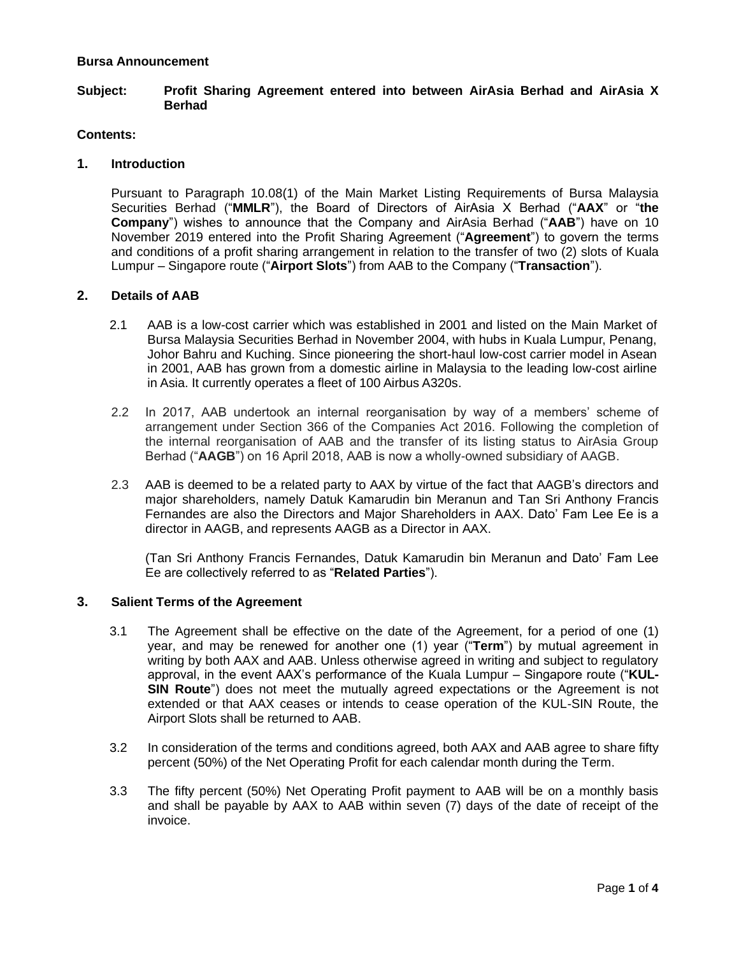#### **Bursa Announcement**

## **Subject: Profit Sharing Agreement entered into between AirAsia Berhad and AirAsia X Berhad**

### **Contents:**

## **1. Introduction**

Pursuant to Paragraph 10.08(1) of the Main Market Listing Requirements of Bursa Malaysia Securities Berhad ("**MMLR**"), the Board of Directors of AirAsia X Berhad ("**AAX**" or "**the Company**") wishes to announce that the Company and AirAsia Berhad ("**AAB**") have on 10 November 2019 entered into the Profit Sharing Agreement ("**Agreement**") to govern the terms and conditions of a profit sharing arrangement in relation to the transfer of two (2) slots of Kuala Lumpur – Singapore route ("**Airport Slots**") from AAB to the Company ("**Transaction**").

## **2. Details of AAB**

- 2.1 AAB is a low-cost carrier which was established in 2001 and listed on the Main Market of Bursa Malaysia Securities Berhad in November 2004, with hubs in Kuala Lumpur, Penang, Johor Bahru and Kuching. Since pioneering the short-haul low-cost carrier model in Asean in 2001, AAB has grown from a domestic airline in Malaysia to the leading low-cost airline in Asia. It currently operates a fleet of 100 Airbus A320s.
- 2.2 In 2017, AAB undertook an internal reorganisation by way of a members' scheme of arrangement under Section 366 of the Companies Act 2016. Following the completion of the internal reorganisation of AAB and the transfer of its listing status to AirAsia Group Berhad ("**AAGB**") on 16 April 2018, AAB is now a wholly-owned subsidiary of AAGB.
- 2.3 AAB is deemed to be a related party to AAX by virtue of the fact that AAGB's directors and major shareholders, namely Datuk Kamarudin bin Meranun and Tan Sri Anthony Francis Fernandes are also the Directors and Major Shareholders in AAX. Dato' Fam Lee Ee is a director in AAGB, and represents AAGB as a Director in AAX.

(Tan Sri Anthony Francis Fernandes, Datuk Kamarudin bin Meranun and Dato' Fam Lee Ee are collectively referred to as "**Related Parties**").

### **3. Salient Terms of the Agreement**

- 3.1 The Agreement shall be effective on the date of the Agreement, for a period of one (1) year, and may be renewed for another one (1) year ("**Term**") by mutual agreement in writing by both AAX and AAB. Unless otherwise agreed in writing and subject to regulatory approval, in the event AAX's performance of the Kuala Lumpur – Singapore route ("**KUL-SIN Route**") does not meet the mutually agreed expectations or the Agreement is not extended or that AAX ceases or intends to cease operation of the KUL-SIN Route, the Airport Slots shall be returned to AAB.
- 3.2 In consideration of the terms and conditions agreed, both AAX and AAB agree to share fifty percent (50%) of the Net Operating Profit for each calendar month during the Term.
- 3.3 The fifty percent (50%) Net Operating Profit payment to AAB will be on a monthly basis and shall be payable by AAX to AAB within seven (7) days of the date of receipt of the invoice.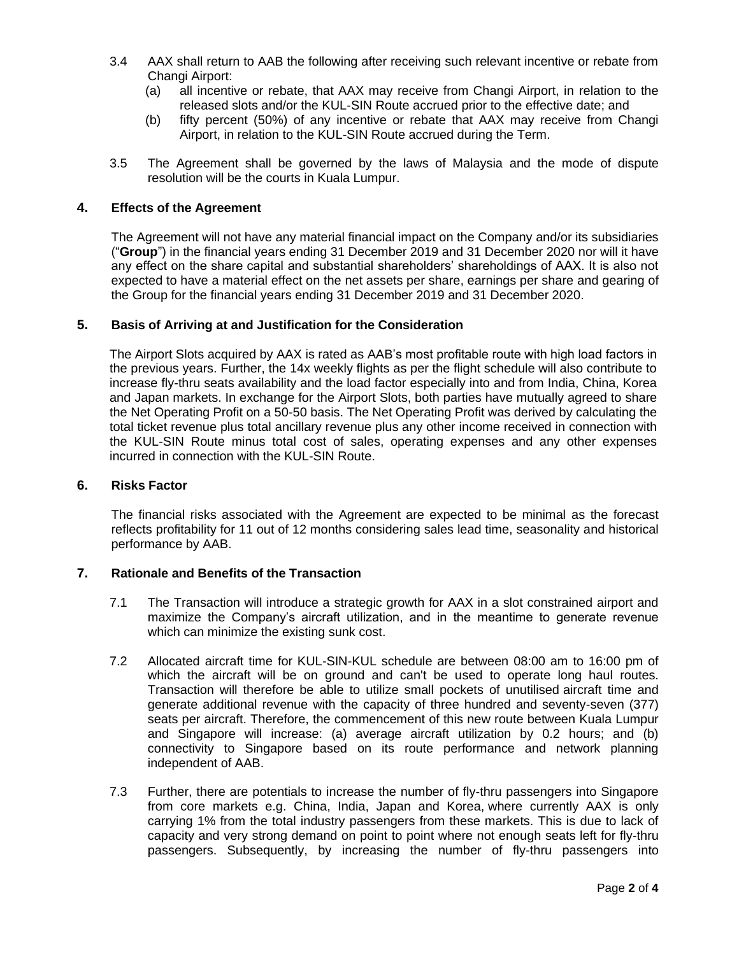- 3.4 AAX shall return to AAB the following after receiving such relevant incentive or rebate from Changi Airport:
	- (a) all incentive or rebate, that AAX may receive from Changi Airport, in relation to the released slots and/or the KUL-SIN Route accrued prior to the effective date; and
	- (b) fifty percent (50%) of any incentive or rebate that AAX may receive from Changi Airport, in relation to the KUL-SIN Route accrued during the Term.
- 3.5 The Agreement shall be governed by the laws of Malaysia and the mode of dispute resolution will be the courts in Kuala Lumpur.

## **4. Effects of the Agreement**

The Agreement will not have any material financial impact on the Company and/or its subsidiaries ("**Group**") in the financial years ending 31 December 2019 and 31 December 2020 nor will it have any effect on the share capital and substantial shareholders' shareholdings of AAX. It is also not expected to have a material effect on the net assets per share, earnings per share and gearing of the Group for the financial years ending 31 December 2019 and 31 December 2020.

### **5. Basis of Arriving at and Justification for the Consideration**

The Airport Slots acquired by AAX is rated as AAB's most profitable route with high load factors in the previous years. Further, the 14x weekly flights as per the flight schedule will also contribute to increase fly-thru seats availability and the load factor especially into and from India, China, Korea and Japan markets. In exchange for the Airport Slots, both parties have mutually agreed to share the Net Operating Profit on a 50-50 basis. The Net Operating Profit was derived by calculating the total ticket revenue plus total ancillary revenue plus any other income received in connection with the KUL-SIN Route minus total cost of sales, operating expenses and any other expenses incurred in connection with the KUL-SIN Route.

### **6. Risks Factor**

The financial risks associated with the Agreement are expected to be minimal as the forecast reflects profitability for 11 out of 12 months considering sales lead time, seasonality and historical performance by AAB.

# **7. Rationale and Benefits of the Transaction**

- 7.1 The Transaction will introduce a strategic growth for AAX in a slot constrained airport and maximize the Company's aircraft utilization, and in the meantime to generate revenue which can minimize the existing sunk cost.
- 7.2 Allocated aircraft time for KUL-SIN-KUL schedule are between 08:00 am to 16:00 pm of which the aircraft will be on ground and can't be used to operate long haul routes. Transaction will therefore be able to utilize small pockets of unutilised aircraft time and generate additional revenue with the capacity of three hundred and seventy-seven (377) seats per aircraft. Therefore, the commencement of this new route between Kuala Lumpur and Singapore will increase: (a) average aircraft utilization by 0.2 hours; and (b) connectivity to Singapore based on its route performance and network planning independent of AAB.
- 7.3 Further, there are potentials to increase the number of fly-thru passengers into Singapore from core markets e.g. China, India, Japan and Korea, where currently AAX is only carrying 1% from the total industry passengers from these markets. This is due to lack of capacity and very strong demand on point to point where not enough seats left for fly-thru passengers. Subsequently, by increasing the number of fly-thru passengers into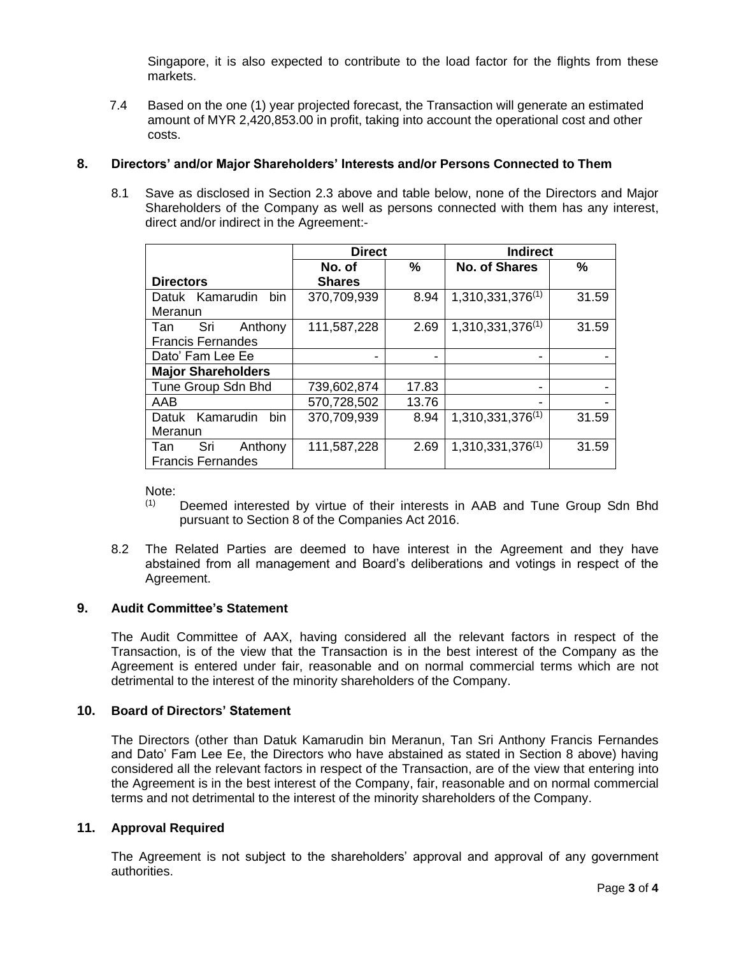Singapore, it is also expected to contribute to the load factor for the flights from these markets.

7.4 Based on the one (1) year projected forecast, the Transaction will generate an estimated amount of MYR 2,420,853.00 in profit, taking into account the operational cost and other costs.

## **8. Directors' and/or Major Shareholders' Interests and/or Persons Connected to Them**

8.1 Save as disclosed in Section 2.3 above and table below, none of the Directors and Major Shareholders of the Company as well as persons connected with them has any interest, direct and/or indirect in the Agreement:-

|                           | <b>Direct</b> |       | <b>Indirect</b>       |               |
|---------------------------|---------------|-------|-----------------------|---------------|
|                           | No. of        | $\%$  | No. of Shares         | $\frac{0}{0}$ |
| <b>Directors</b>          | <b>Shares</b> |       |                       |               |
| bin<br>Datuk Kamarudin    | 370,709,939   | 8.94  | $1,310,331,376^{(1)}$ | 31.59         |
| Meranun                   |               |       |                       |               |
| Sri<br>Anthony<br>Tan     | 111,587,228   | 2.69  | $1,310,331,376^{(1)}$ | 31.59         |
| <b>Francis Fernandes</b>  |               |       |                       |               |
| Dato' Fam Lee Ee          |               |       |                       |               |
| <b>Major Shareholders</b> |               |       |                       |               |
| Tune Group Sdn Bhd        | 739,602,874   | 17.83 |                       |               |
| AAB                       | 570,728,502   | 13.76 |                       |               |
| bin<br>Datuk Kamarudin    | 370,709,939   | 8.94  | 1,310,331,376(1)      | 31.59         |
| Meranun                   |               |       |                       |               |
| Sri<br>Anthony<br>Tan     | 111,587,228   | 2.69  | $1,310,331,376^{(1)}$ | 31.59         |
| <b>Francis Fernandes</b>  |               |       |                       |               |

Note:<br>(1)

- Deemed interested by virtue of their interests in AAB and Tune Group Sdn Bhd pursuant to Section 8 of the Companies Act 2016.
- 8.2 The Related Parties are deemed to have interest in the Agreement and they have abstained from all management and Board's deliberations and votings in respect of the Agreement.

## **9. Audit Committee's Statement**

The Audit Committee of AAX, having considered all the relevant factors in respect of the Transaction, is of the view that the Transaction is in the best interest of the Company as the Agreement is entered under fair, reasonable and on normal commercial terms which are not detrimental to the interest of the minority shareholders of the Company.

## **10. Board of Directors' Statement**

The Directors (other than Datuk Kamarudin bin Meranun, Tan Sri Anthony Francis Fernandes and Dato' Fam Lee Ee, the Directors who have abstained as stated in Section 8 above) having considered all the relevant factors in respect of the Transaction, are of the view that entering into the Agreement is in the best interest of the Company, fair, reasonable and on normal commercial terms and not detrimental to the interest of the minority shareholders of the Company.

### **11. Approval Required**

The Agreement is not subject to the shareholders' approval and approval of any government authorities.